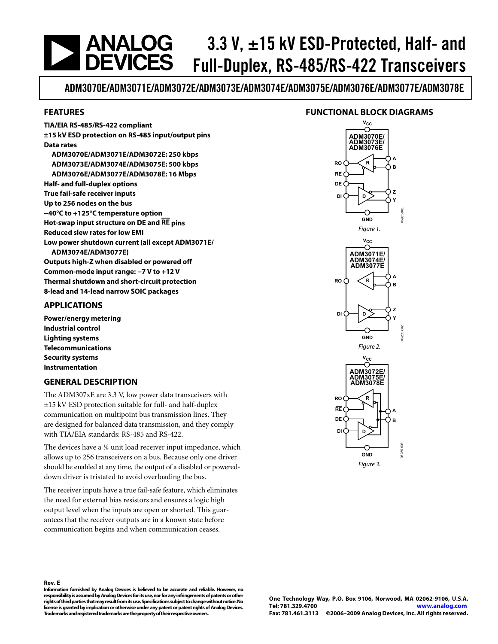## <span id="page-0-0"></span>**ANALOG<br>DEVICES** 3.3 V,  $\pm$ 15 kV ESD-Protected, Half- and Full-Duplex, RS-485/RS-422 Transceivers

ADM3070E/ADM3071E/ADM3072E/ADM3073E/ADM3074E/ADM3075E/ADM3076E/ADM3077E/ADM3078E

### **FEATURES**

### **FUNCTIONAL BLOCK DIAGRAMS**

**TIA/EIA RS-485/RS-422 compliant ±15 kV ESD protection on RS-485 input/output pins Data rates ADM3070E/ADM3071E/ADM3072E: 250 kbps ADM3073E/ADM3074E/ADM3075E: 500 kbps ADM3076E/ADM3077E/ADM3078E: 16 Mbps Half- and full-duplex options True fail-safe receiver inputs Up to 256 nodes on the bus −40°C to +125°C temperature option Hot-swap input structure on DE and RE pins Reduced slew rates for low EMI Low power shutdown current (all except ADM3071E/ ADM3074E/ADM3077E) Outputs high-Z when disabled or powered off Common-mode input range: −7 V to +12 V Thermal shutdown and short-circuit protection 8-lead and 14-lead narrow SOIC packages** 

### **APPLICATIONS**

**Power/energy metering Industrial control Lighting systems Telecommunications Security systems Instrumentation** 

### **GENERAL DESCRIPTION**

The ADM307xE are 3.3 V, low power data transceivers with ±15 kV ESD protection suitable for full- and half-duplex communication on multipoint bus transmission lines. They are designed for balanced data transmission, and they comply with TIA/EIA standards: RS-485 and RS-422.

The devices have a ⅛ unit load receiver input impedance, which allows up to 256 transceivers on a bus. Because only one driver should be enabled at any time, the output of a disabled or powereddown driver is tristated to avoid overloading the bus.

The receiver inputs have a true fail-safe feature, which eliminates the need for external bias resistors and ensures a logic high output level when the inputs are open or shorted. This guarantees that the receiver outputs are in a known state before communication begins and when communication ceases.



**Rev. E** 

**Information furnished by Analog Devices is believed to be accurate and reliable. However, no responsibility is assumed by Analog Devices for its use, nor for any infringements of patents or other rights of third parties that may result from its use. Specifications subject to change without notice. No license is granted by implication or otherwise under any patent or patent rights of Analog Devices. Trademarks and registered trademarks are the property of their respective owners.**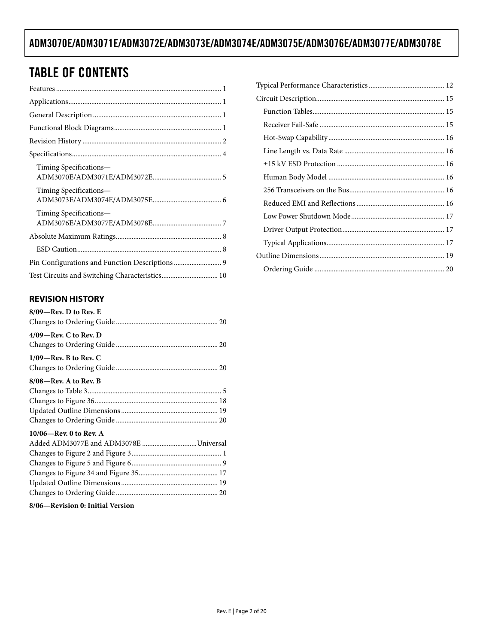# TABLE OF CONTENTS

| Timing Specifications—                         |
|------------------------------------------------|
| Timing Specifications—                         |
| Timing Specifications—                         |
|                                                |
|                                                |
|                                                |
| Test Circuits and Switching Characteristics 10 |

## **REVISION HISTORY**

| $8/09$ —Rev. D to Rev. E              |
|---------------------------------------|
|                                       |
| $4/09$ —Rev. C to Rev. D              |
|                                       |
| $1/09$ —Rev. B to Rev. C              |
|                                       |
| $8/08$ —Rev. A to Rev. B              |
|                                       |
|                                       |
|                                       |
|                                       |
| $10/06$ —Rev. 0 to Rev. A             |
| Added ADM3077E and ADM3078E Universal |
|                                       |
|                                       |
|                                       |
|                                       |
|                                       |
| 8/06—Revision 0: Initial Version      |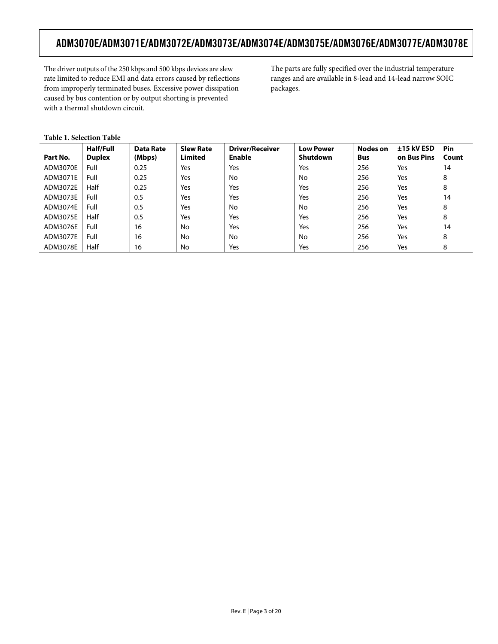The driver outputs of the 250 kbps and 500 kbps devices are slew rate limited to reduce EMI and data errors caused by reflections from improperly terminated buses. Excessive power dissipation caused by bus contention or by output shorting is prevented with a thermal shutdown circuit.

The parts are fully specified over the industrial temperature ranges and are available in 8-lead and 14-lead narrow SOIC packages.

|  | <b>Table 1. Selection Table</b> |  |
|--|---------------------------------|--|
|--|---------------------------------|--|

| Part No. | Half/Full<br><b>Duplex</b> | <b>Data Rate</b><br>(Mbps) | <b>Slew Rate</b><br><b>Limited</b> | <b>Driver/Receiver</b><br><b>Enable</b> | <b>Low Power</b><br>Shutdown | <b>Nodes on</b><br>Bus | $±15$ kV ESD<br>on Bus Pins | Pin<br>Count |
|----------|----------------------------|----------------------------|------------------------------------|-----------------------------------------|------------------------------|------------------------|-----------------------------|--------------|
| ADM3070E | Full                       | 0.25                       | Yes                                | Yes                                     | Yes                          | 256                    | Yes                         | 14           |
| ADM3071E | Full                       | 0.25                       | Yes                                | No                                      | No                           | 256                    | Yes                         | 8            |
| ADM3072E | Half                       | 0.25                       | Yes                                | Yes                                     | Yes                          | 256                    | Yes                         | 8            |
| ADM3073E | Full                       | 0.5                        | Yes                                | Yes                                     | Yes                          | 256                    | Yes                         | 14           |
| ADM3074E | Full                       | 0.5                        | Yes                                | No                                      | No                           | 256                    | Yes                         | 8            |
| ADM3075E | Half                       | 0.5                        | Yes                                | Yes                                     | Yes                          | 256                    | Yes                         | 8            |
| ADM3076E | Full                       | 16                         | No                                 | Yes                                     | Yes                          | 256                    | Yes                         | 14           |
| ADM3077E | Full                       | 16                         | No                                 | No                                      | No.                          | 256                    | Yes                         | 8            |
| ADM3078E | Half                       | 16                         | No                                 | Yes                                     | Yes                          | 256                    | Yes                         | 8            |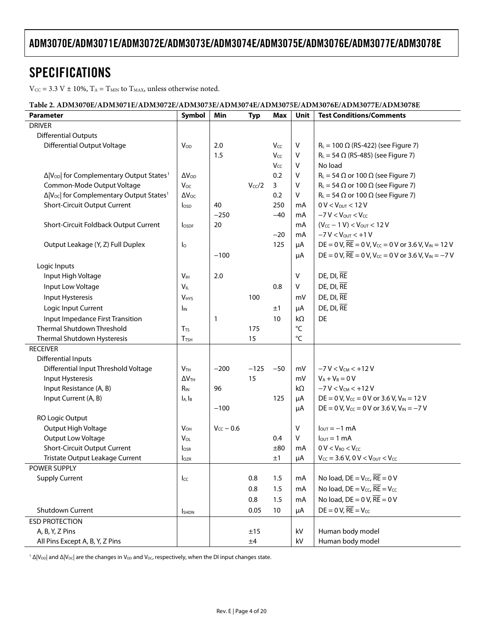# <span id="page-3-0"></span>SPECIFICATIONS

 $V_{CC} = 3.3 V \pm 10\%, T_A = T_{MIN}$  to  $T_{MAX}$ , unless otherwise noted.

#### **Table 2. ADM3070E/ADM3071E/ADM3072E/ADM3073E/ADM3074E/ADM3075E/ADM3076E/ADM3077E/ADM3078E**

| Parameter                                                        | Symbol                  | Min            | <b>Typ</b>         | Max          | Unit | <b>Test Conditions/Comments</b>                                                         |
|------------------------------------------------------------------|-------------------------|----------------|--------------------|--------------|------|-----------------------------------------------------------------------------------------|
| <b>DRIVER</b>                                                    |                         |                |                    |              |      |                                                                                         |
| <b>Differential Outputs</b>                                      |                         |                |                    |              |      |                                                                                         |
| <b>Differential Output Voltage</b>                               | $V_{\text{OD}}$         | 2.0            |                    | Vcc          | V    | $R_L = 100 \Omega$ (RS-422) (see Figure 7)                                              |
|                                                                  |                         | 1.5            |                    | Vcc          | V    | $R_L$ = 54 $\Omega$ (RS-485) (see Figure 7)                                             |
|                                                                  |                         |                |                    | Vcc          | V    | No load                                                                                 |
| Δ V <sub>OD</sub>   for Complementary Output States <sup>1</sup> | $\Delta V_{OD}$         |                |                    | 0.2          | V    | $R_L = 54 \Omega$ or 100 $\Omega$ (see Figure 7)                                        |
| Common-Mode Output Voltage                                       | Voc                     |                | V <sub>cc</sub> /2 | $\mathbf{3}$ | V    | $R_L$ = 54 $\Omega$ or 100 $\Omega$ (see Figure 7)                                      |
| Δ V <sub>oc</sub>   for Complementary Output States <sup>1</sup> | $\Delta V_{OC}$         |                |                    | 0.2          | V    | $R_L$ = 54 $\Omega$ or 100 $\Omega$ (see Figure 7)                                      |
| Short-Circuit Output Current                                     | I <sub>OSD</sub>        | 40             |                    | 250          | mA   | $0 V < V_{OUT} < 12 V$                                                                  |
|                                                                  |                         | $-250$         |                    | $-40$        | mA   | $-7 V < V_{\text{OUT}} < V_{\text{CC}}$                                                 |
| Short-Circuit Foldback Output Current                            | <b>lospf</b>            | 20             |                    |              | mA   | $(V_{CC} - 1 V) < V_{OUT} < 12 V$                                                       |
|                                                                  |                         |                |                    | $-20$        | mA   | $-7 V < V_{OUT} < +1 V$                                                                 |
| Output Leakage (Y, Z) Full Duplex                                | $I_{\circ}$             |                |                    | 125          | μA   | DE = 0 V, $\overline{RE}$ = 0 V, V <sub>cc</sub> = 0 V or 3.6 V, V <sub>IN</sub> = 12 V |
|                                                                  |                         | $-100$         |                    |              | μA   | DE = 0 V, $\overline{RE}$ = 0 V, V <sub>cc</sub> = 0 V or 3.6 V, V <sub>IN</sub> = -7 V |
| Logic Inputs                                                     |                         |                |                    |              |      |                                                                                         |
| Input High Voltage                                               | V <sub>IH</sub>         | 2.0            |                    |              | v    | $DE$ , $DI$ , $RE$                                                                      |
| Input Low Voltage                                                | $V_{IL}$                |                |                    | 0.8          | V    | DE, DI, RE                                                                              |
| Input Hysteresis                                                 | <b>V<sub>HYS</sub></b>  |                | 100                |              | mV   | DE, DI, RE                                                                              |
| Logic Input Current                                              | <b>I</b> IN             |                |                    | ±1           | μA   | $DE$ , $DI$ , $RE$                                                                      |
| Input Impedance First Transition                                 |                         | $\mathbf{1}$   |                    | 10           | kΩ   | DE                                                                                      |
| Thermal Shutdown Threshold                                       | $T_{TS}$                |                | 175                |              | °C   |                                                                                         |
| Thermal Shutdown Hysteresis                                      | <b>T</b> <sub>TSH</sub> |                | 15                 |              | °C   |                                                                                         |
| <b>RECEIVER</b>                                                  |                         |                |                    |              |      |                                                                                         |
| Differential Inputs                                              |                         |                |                    |              |      |                                                                                         |
| Differential Input Threshold Voltage                             | V <sub>TH</sub>         | $-200$         | $-125$             | $-50$        | mV   | $-7 V < V_{CM} < +12 V$                                                                 |
| Input Hysteresis                                                 | $\Delta V$ TH           |                | 15                 |              | mV   | $V_A + V_B = 0 V$                                                                       |
| Input Resistance (A, B)                                          | $R_{IN}$                | 96             |                    |              | kΩ   | $-7 V < V_{CM} < +12 V$                                                                 |
| Input Current (A, B)                                             | $I_A$ , $I_B$           |                |                    | 125          | μA   | DE = 0 V, V <sub>cc</sub> = 0 V or 3.6 V, V <sub>IN</sub> = 12 V                        |
|                                                                  |                         | $-100$         |                    |              | μA   | DE = 0 V, $V_{CC}$ = 0 V or 3.6 V, $V_{IN}$ = -7 V                                      |
| RO Logic Output                                                  |                         |                |                    |              |      |                                                                                         |
| Output High Voltage                                              | $V_{OH}$                | $V_{CC}$ – 0.6 |                    |              | V    | $l_{\text{out}} = -1$ mA                                                                |
| Output Low Voltage                                               | $V_{OL}$                |                |                    | 0.4          | V    | $I_{\text{OUT}} = 1 \text{ mA}$                                                         |
| Short-Circuit Output Current                                     | $I_{OSR}$               |                |                    | ±80          | mA   | $0 V < V_{RO} < V_{CC}$                                                                 |
| Tristate Output Leakage Current                                  | lozr                    |                |                    | ±1           | μA   | $V_{CC}$ = 3.6 V, 0 V < V <sub>OUT</sub> < V <sub>CC</sub>                              |
| POWER SUPPLY                                                     |                         |                |                    |              |      |                                                                                         |
| <b>Supply Current</b>                                            | $_{\text{L}\text{C}}$   |                | 0.8                | 1.5          | mA   | No load, $DE = V_{CC}$ , $\overline{RE} = 0$ V                                          |
|                                                                  |                         |                | 0.8                | 1.5          | mA   | No load, $DE = V_{CC}$ , $\overline{RE} = V_{CC}$                                       |
|                                                                  |                         |                | 0.8                | 1.5          | mA   | No load, $DE = 0 V$ , $RE = 0 V$                                                        |
| Shutdown Current                                                 | <b>SHDN</b>             |                | 0.05               | 10           | μA   | $DE = 0 V$ , $RE = V_{CC}$                                                              |
| <b>ESD PROTECTION</b>                                            |                         |                |                    |              |      |                                                                                         |
| A, B, Y, Z Pins                                                  |                         |                | ±15                |              | kV   | Human body model                                                                        |
| All Pins Except A, B, Y, Z Pins                                  |                         |                | $\pm 4$            |              | kV   | Human body model                                                                        |

 $^1$  Δ|V<sub>OD</sub>| and Δ|V<sub>OC</sub>| are the changes in V<sub>OD</sub> and V<sub>OC</sub>, respectively, when the DI input changes state.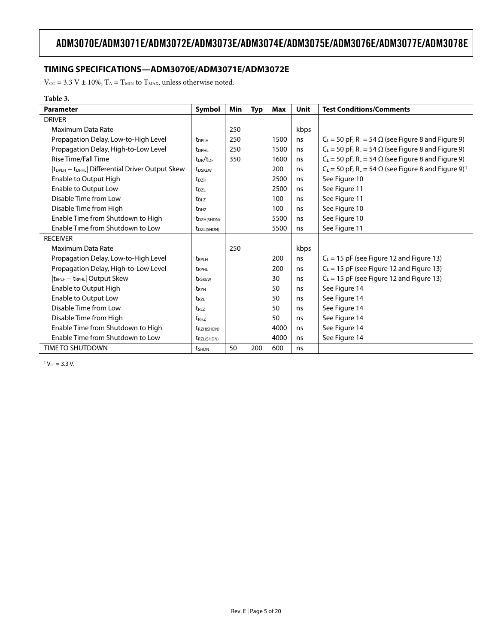## <span id="page-4-0"></span>**TIMING SPECIFICATIONS—ADM3070E/ADM3071E/ADM3072E**

 $\rm V_{\rm CC}$  = 3.3 V  $\pm$  10%,  $\rm T_A$  =  $\rm T_{MIN}$  to  $\rm T_{MAX}$  unless otherwise noted.

#### **Table 3.**

l,

| <b>Parameter</b>                                                        | Symbol                           | Min | <b>Typ</b> | <b>Max</b> | <b>Unit</b> | <b>Test Conditions/Comments</b>                                                      |
|-------------------------------------------------------------------------|----------------------------------|-----|------------|------------|-------------|--------------------------------------------------------------------------------------|
| <b>DRIVER</b>                                                           |                                  |     |            |            |             |                                                                                      |
| Maximum Data Rate                                                       |                                  | 250 |            |            | kbps        |                                                                                      |
| Propagation Delay, Low-to-High Level                                    | <b>t</b> <sub>DPLH</sub>         | 250 |            | 1500       | ns          | $C_L$ = 50 pF, R <sub>L</sub> = 54 $\Omega$ (see Figure 8 and Figure 9)              |
| Propagation Delay, High-to-Low Level                                    | t <sub>DPHL</sub>                | 250 |            | 1500       | ns          | $C_L$ = 50 pF, R <sub>L</sub> = 54 $\Omega$ (see Figure 8 and Figure 9)              |
| Rise Time/Fall Time                                                     | t <sub>DR</sub> /t <sub>DF</sub> | 350 |            | 1600       | ns          | $C_L$ = 50 pF, R <sub>L</sub> = 54 $\Omega$ (see Figure 8 and Figure 9)              |
| t <sub>DPLH</sub> – t <sub>DPHL</sub>   Differential Driver Output Skew | <b>t</b> <sub>DSKEW</sub>        |     |            | 200        | ns          | $C_L$ = 50 pF, R <sub>L</sub> = 54 $\Omega$ (see Figure 8 and Figure 9) <sup>1</sup> |
| Enable to Output High                                                   | t <sub>DZH</sub>                 |     |            | 2500       | ns          | See Figure 10                                                                        |
| Enable to Output Low                                                    | t <sub>DZL</sub>                 |     |            | 2500       | ns          | See Figure 11                                                                        |
| Disable Time from Low                                                   | t <sub>DLZ</sub>                 |     |            | 100        | ns          | See Figure 11                                                                        |
| Disable Time from High                                                  | <b>t</b> <sub>DHZ</sub>          |     |            | 100        | ns          | See Figure 10                                                                        |
| Enable Time from Shutdown to High                                       | t <sub>DZH(SHDN)</sub>           |     |            | 5500       | ns          | See Figure 10                                                                        |
| Enable Time from Shutdown to Low                                        | t <sub>DZL(SHDN)</sub>           |     |            | 5500       | ns          | See Figure 11                                                                        |
| <b>RECEIVER</b>                                                         |                                  |     |            |            |             |                                                                                      |
| Maximum Data Rate                                                       |                                  | 250 |            |            | kbps        |                                                                                      |
| Propagation Delay, Low-to-High Level                                    | tRPLH                            |     |            | 200        | ns          | $C_{L}$ = 15 pF (see Figure 12 and Figure 13)                                        |
| Propagation Delay, High-to-Low Level                                    | t <sub>RPHL</sub>                |     |            | 200        | ns          | $C_L$ = 15 pF (see Figure 12 and Figure 13)                                          |
| t <sub>RPLH</sub> - t <sub>RPHL</sub>   Output Skew                     | trskew                           |     |            | 30         | ns          | $C_L$ = 15 pF (see Figure 12 and Figure 13)                                          |
| Enable to Output High                                                   | <b>t</b> <sub>RZH</sub>          |     |            | 50         | ns          | See Figure 14                                                                        |
| Enable to Output Low                                                    | t <sub>rzl</sub>                 |     |            | 50         | ns          | See Figure 14                                                                        |
| Disable Time from Low                                                   | t <sub>RLZ</sub>                 |     |            | 50         | ns          | See Figure 14                                                                        |
| Disable Time from High                                                  | t <sub>RHZ</sub>                 |     |            | 50         | ns          | See Figure 14                                                                        |
| Enable Time from Shutdown to High                                       | t <sub>RZH(SHDN)</sub>           |     |            | 4000       | ns          | See Figure 14                                                                        |
| Enable Time from Shutdown to Low                                        | t <sub>RZL(SHDN)</sub>           |     |            | 4000       | ns          | See Figure 14                                                                        |
| <b>TIME TO SHUTDOWN</b>                                                 | <b>t</b> <sub>SHDN</sub>         | 50  | 200        | 600        | ns          |                                                                                      |

 $1$   $V_{CC}$  = 3.3 V.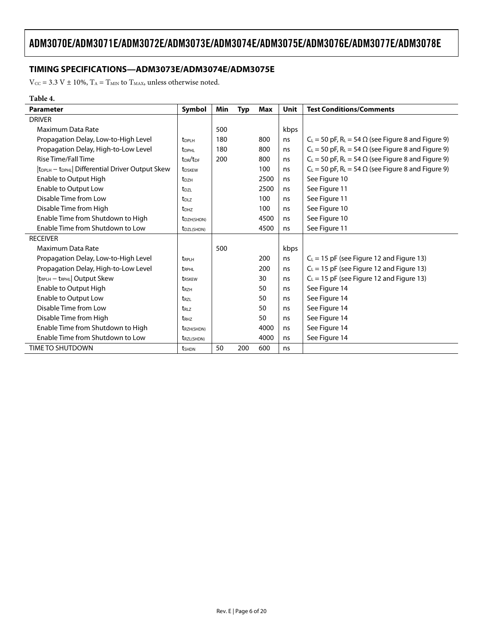## <span id="page-5-0"></span>**TIMING SPECIFICATIONS—ADM3073E/ADM3074E/ADM3075E**

 $\rm V_{\rm CC}$  = 3.3 V  $\pm$  10%,  $\rm T_A$  =  $\rm T_{MIN}$  to  $\rm T_{MAX}$  unless otherwise noted.

#### **Table 4.**

| <b>Parameter</b>                                                        | Symbol                           | Min | <b>Typ</b> | Max  | Unit | <b>Test Conditions/Comments</b>                                         |
|-------------------------------------------------------------------------|----------------------------------|-----|------------|------|------|-------------------------------------------------------------------------|
| <b>DRIVER</b>                                                           |                                  |     |            |      |      |                                                                         |
| Maximum Data Rate                                                       |                                  | 500 |            |      | kbps |                                                                         |
| Propagation Delay, Low-to-High Level                                    | t <sub>DPLH</sub>                | 180 |            | 800  | ns   | $C_L$ = 50 pF, R <sub>L</sub> = 54 $\Omega$ (see Figure 8 and Figure 9) |
| Propagation Delay, High-to-Low Level                                    | <b>t</b> <sub>DPHL</sub>         | 180 |            | 800  | ns   | $C_L$ = 50 pF, R <sub>L</sub> = 54 $\Omega$ (see Figure 8 and Figure 9) |
| <b>Rise Time/Fall Time</b>                                              | t <sub>DR</sub> /t <sub>DF</sub> | 200 |            | 800  | ns   | $C_L$ = 50 pF, R <sub>L</sub> = 54 $\Omega$ (see Figure 8 and Figure 9) |
| t <sub>DPLH</sub> - t <sub>DPHL</sub>   Differential Driver Output Skew | t <sub>DSKEW</sub>               |     |            | 100  | ns.  | $C_L$ = 50 pF, R <sub>L</sub> = 54 $\Omega$ (see Figure 8 and Figure 9) |
| Enable to Output High                                                   | <b>t</b> <sub>DZH</sub>          |     |            | 2500 | ns   | See Figure 10                                                           |
| Enable to Output Low                                                    | t <sub>DZL</sub>                 |     |            | 2500 | ns   | See Figure 11                                                           |
| Disable Time from Low                                                   | t <sub>DLZ</sub>                 |     |            | 100  | ns   | See Figure 11                                                           |
| Disable Time from High                                                  | <b>t</b> <sub>DHZ</sub>          |     |            | 100  | ns   | See Figure 10                                                           |
| Enable Time from Shutdown to High                                       | t <sub>DZH</sub> (SHDN)          |     |            | 4500 | ns   | See Figure 10                                                           |
| Enable Time from Shutdown to Low                                        | t <sub>DZL(SHDN)</sub>           |     |            | 4500 | ns   | See Figure 11                                                           |
| <b>RECEIVER</b>                                                         |                                  |     |            |      |      |                                                                         |
| Maximum Data Rate                                                       |                                  | 500 |            |      | kbps |                                                                         |
| Propagation Delay, Low-to-High Level                                    | <b>t</b> RPLH                    |     |            | 200  | ns   | $C_L = 15$ pF (see Figure 12 and Figure 13)                             |
| Propagation Delay, High-to-Low Level                                    | <b>t</b> <sub>RPHL</sub>         |     |            | 200  | ns   | $C_L$ = 15 pF (see Figure 12 and Figure 13)                             |
| t <sub>RPLH</sub> - t <sub>RPHL</sub>   Output Skew                     | trskew                           |     |            | 30   | ns   | $C_L = 15$ pF (see Figure 12 and Figure 13)                             |
| Enable to Output High                                                   | t <sub>RZH</sub>                 |     |            | 50   | ns   | See Figure 14                                                           |
| Enable to Output Low                                                    | t <sub>RZL</sub>                 |     |            | 50   | ns   | See Figure 14                                                           |
| Disable Time from Low                                                   | t <sub>rlz</sub>                 |     |            | 50   | ns   | See Figure 14                                                           |
| Disable Time from High                                                  | <b>t</b> <sub>RHZ</sub>          |     |            | 50   | ns   | See Figure 14                                                           |
| Enable Time from Shutdown to High                                       | <b>t</b> RZH(SHDN)               |     |            | 4000 | ns   | See Figure 14                                                           |
| Enable Time from Shutdown to Low                                        | t <sub>RZL(SHDN)</sub>           |     |            | 4000 | ns   | See Figure 14                                                           |
| <b>TIME TO SHUTDOWN</b>                                                 | <b>t</b> shon                    | 50  | 200        | 600  | ns   |                                                                         |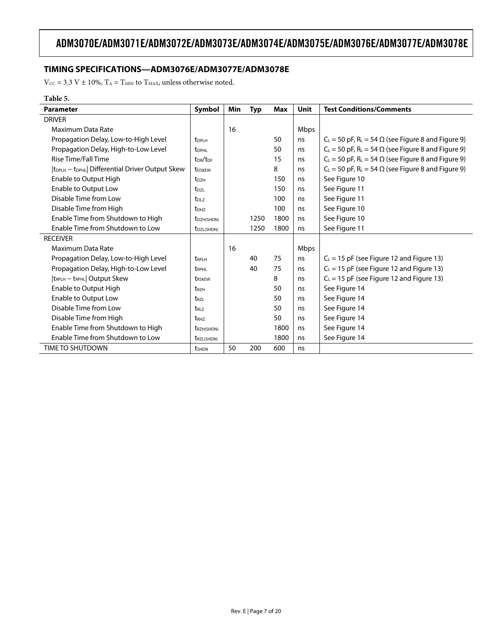### <span id="page-6-0"></span>**TIMING SPECIFICATIONS—ADM3076E/ADM3077E/ADM3078E**

 $\rm V_{\rm CC}$  = 3.3 V  $\pm$  10%,  $\rm T_A$  =  $\rm T_{\rm MIN}$  to  $\rm T_{\rm MAX}$  unless otherwise noted.

#### **Table 5.**

| <b>Parameter</b>                                                        | Symbol                           | Min | <b>Typ</b> | Max  | Unit | <b>Test Conditions/Comments</b>                                         |
|-------------------------------------------------------------------------|----------------------------------|-----|------------|------|------|-------------------------------------------------------------------------|
| <b>DRIVER</b>                                                           |                                  |     |            |      |      |                                                                         |
| Maximum Data Rate                                                       |                                  | 16  |            |      | Mbps |                                                                         |
| Propagation Delay, Low-to-High Level                                    | <b>t</b> <sub>DPLH</sub>         |     |            | 50   | ns   | $C_L$ = 50 pF, R <sub>L</sub> = 54 $\Omega$ (see Figure 8 and Figure 9) |
| Propagation Delay, High-to-Low Level                                    | <b>t</b> <sub>DPHL</sub>         |     |            | 50   | ns   | $C_L$ = 50 pF, R <sub>L</sub> = 54 $\Omega$ (see Figure 8 and Figure 9) |
| <b>Rise Time/Fall Time</b>                                              | t <sub>DR</sub> /t <sub>DF</sub> |     |            | 15   | ns   | $C_L$ = 50 pF, R <sub>L</sub> = 54 $\Omega$ (see Figure 8 and Figure 9) |
| t <sub>DPLH</sub> – t <sub>DPHL</sub>   Differential Driver Output Skew | <b>t</b> <sub>DSKEW</sub>        |     |            | 8    | ns   | $C_L$ = 50 pF, R <sub>L</sub> = 54 $\Omega$ (see Figure 8 and Figure 9) |
| Enable to Output High                                                   | <b>t</b> <sub>DZH</sub>          |     |            | 150  | ns   | See Figure 10                                                           |
| Enable to Output Low                                                    | t <sub>DZL</sub>                 |     |            | 150  | ns   | See Figure 11                                                           |
| Disable Time from Low                                                   | t <sub>DLZ</sub>                 |     |            | 100  | ns   | See Figure 11                                                           |
| Disable Time from High                                                  | <b>t</b> <sub>DHZ</sub>          |     |            | 100  | ns   | See Figure 10                                                           |
| Enable Time from Shutdown to High                                       | t <sub>DZH(SHDN)</sub>           |     | 1250       | 1800 | ns   | See Figure 10                                                           |
| Enable Time from Shutdown to Low                                        | t <sub>DZL(SHDN)</sub>           |     | 1250       | 1800 | ns   | See Figure 11                                                           |
| <b>RECEIVER</b>                                                         |                                  |     |            |      |      |                                                                         |
| Maximum Data Rate                                                       |                                  | 16  |            |      | Mbps |                                                                         |
| Propagation Delay, Low-to-High Level                                    | <b>TRPLH</b>                     |     | 40         | 75   | ns   | $C_L = 15$ pF (see Figure 12 and Figure 13)                             |
| Propagation Delay, High-to-Low Level                                    | <b>t</b> <sub>RPHL</sub>         |     | 40         | 75   | ns   | $C_L$ = 15 pF (see Figure 12 and Figure 13)                             |
| t <sub>RPLH</sub> - t <sub>RPHL</sub>   Output Skew                     | <b>t</b> RSKEW                   |     |            | 8    | ns   | $C_L = 15$ pF (see Figure 12 and Figure 13)                             |
| Enable to Output High                                                   | t <sub>RZH</sub>                 |     |            | 50   | ns   | See Figure 14                                                           |
| Enable to Output Low                                                    | t <sub>rzl</sub>                 |     |            | 50   | ns   | See Figure 14                                                           |
| Disable Time from Low                                                   | $t_{R17}$                        |     |            | 50   | ns   | See Figure 14                                                           |
| Disable Time from High                                                  | t <sub>RHZ</sub>                 |     |            | 50   | ns   | See Figure 14                                                           |
| Enable Time from Shutdown to High                                       | <b>t</b> RZH(SHDN)               |     |            | 1800 | ns   | See Figure 14                                                           |
| Enable Time from Shutdown to Low                                        | t <sub>RZL(SHDN)</sub>           |     |            | 1800 | ns   | See Figure 14                                                           |
| TIME TO SHUTDOWN                                                        | tshon                            | 50  | 200        | 600  | ns   |                                                                         |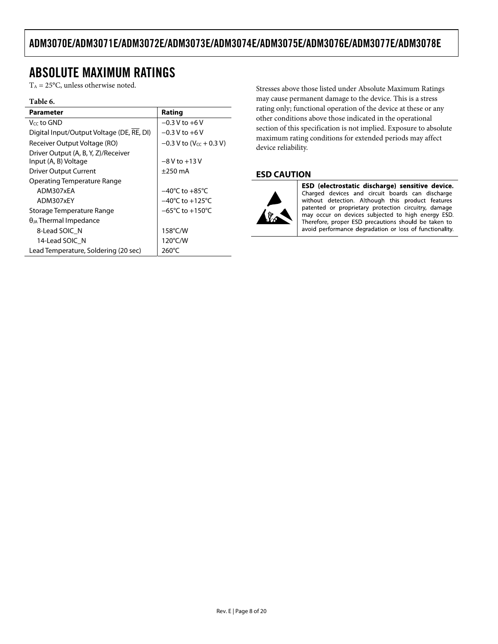# <span id="page-7-1"></span><span id="page-7-0"></span>ABSOLUTE MAXIMUM RATINGS

 $T_A = 25$ °C, unless otherwise noted.

#### **Table 6.**

| Parameter                                 | Rating                                |
|-------------------------------------------|---------------------------------------|
| Vcc to GND                                | $-0.3 V$ to $+6V$                     |
| Digital Input/Output Voltage (DE, RE, DI) | $-0.3 V$ to $+6 V$                    |
| Receiver Output Voltage (RO)              | $-0.3$ V to (V <sub>CC</sub> + 0.3 V) |
| Driver Output (A, B, Y, Z)/Receiver       |                                       |
| Input (A, B) Voltage                      | $-8V$ to $+13V$                       |
| <b>Driver Output Current</b>              | $\pm$ 250 mA                          |
| Operating Temperature Range               |                                       |
| ADM307xEA                                 | $-40^{\circ}$ C to $+85^{\circ}$ C    |
| ADM307xEY                                 | $-40^{\circ}$ C to $+125^{\circ}$ C   |
| Storage Temperature Range                 | $-65^{\circ}$ C to +150 $^{\circ}$ C  |
| $\theta_{JA}$ Thermal Impedance           |                                       |
| 8-Lead SOIC N                             | 158°C/W                               |
| 14-Lead SOIC N                            | 120°C/W                               |
| Lead Temperature, Soldering (20 sec)      | 260°C                                 |

Stresses above those listed under Absolute Maximum Ratings may cause permanent damage to the device. This is a stress rating only; functional operation of the device at these or any other conditions above those indicated in the operational section of this specification is not implied. Exposure to absolute maximum rating conditions for extended periods may affect device reliability.

### **ESD CAUTION**



ESD (electrostatic discharge) sensitive device. Charged devices and circuit boards can discharge without detection. Although this product features patented or proprietary protection circuitry, damage may occur on devices subjected to high energy ESD. Therefore, proper ESD precautions should be taken to avoid performance degradation or loss of functionality.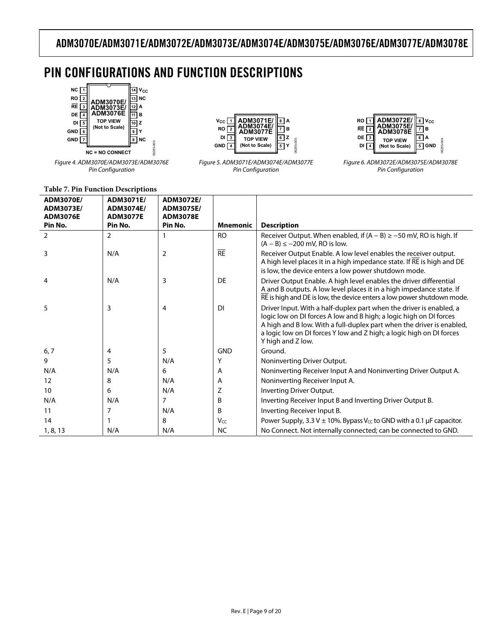# <span id="page-8-0"></span>PIN CONFIGURATIONS AND FUNCTION DESCRIPTIONS

06285-004



Figure 4. ADM3070E/ADM3073E/ADM3076E Pin Configuration



Figure 5. ADM3071E/ADM3074E/ADM3077E Pin Configuration



Figure 6. ADM3072E/ADM3075E/ADM3078E Pin Configuration

#### **Table 7. Pin Function Descriptions**

| <b>ADM3070E/</b><br>ADM3073E/<br><b>ADM3076E</b><br>Pin No. | ADM3071E/<br>ADM3074E/<br><b>ADM3077E</b><br>Pin No. | ADM3072E/<br>ADM3075E/<br><b>ADM3078E</b><br>Pin No. | <b>Mnemonic</b> | <b>Description</b>                                                                                                                                                                                                                                                                                              |
|-------------------------------------------------------------|------------------------------------------------------|------------------------------------------------------|-----------------|-----------------------------------------------------------------------------------------------------------------------------------------------------------------------------------------------------------------------------------------------------------------------------------------------------------------|
| 2                                                           | 2                                                    |                                                      | <b>RO</b>       | Receiver Output. When enabled, if $(A - B) \ge -50$ mV, RO is high. If<br>$(A - B) \le -200$ mV, RO is low.                                                                                                                                                                                                     |
| 3                                                           | N/A                                                  | $\overline{2}$                                       | $\overline{RE}$ | Receiver Output Enable. A low level enables the receiver output.<br>A high level places it in a high impedance state. If RE is high and DE<br>is low, the device enters a low power shutdown mode.                                                                                                              |
| 4                                                           | N/A                                                  | 3                                                    | DE              | Driver Output Enable. A high level enables the driver differential<br>A and B outputs. A low level places it in a high impedance state. If<br>RE is high and DE is low, the device enters a low power shutdown mode.                                                                                            |
| 5                                                           | 3                                                    | 4                                                    | <b>DI</b>       | Driver Input. With a half-duplex part when the driver is enabled, a<br>logic low on DI forces A low and B high; a logic high on DI forces<br>A high and B low. With a full-duplex part when the driver is enabled,<br>a logic low on DI forces Y low and Z high; a logic high on DI forces<br>Y high and Z low. |
| 6, 7                                                        | 4                                                    | 5                                                    | <b>GND</b>      | Ground.                                                                                                                                                                                                                                                                                                         |
| 9                                                           | 5                                                    | N/A                                                  | Υ               | Noninverting Driver Output.                                                                                                                                                                                                                                                                                     |
| N/A                                                         | N/A                                                  | 6                                                    | Α               | Noninverting Receiver Input A and Noninverting Driver Output A.                                                                                                                                                                                                                                                 |
| 12                                                          | 8                                                    | N/A                                                  | A               | Noninverting Receiver Input A.                                                                                                                                                                                                                                                                                  |
| 10                                                          | 6                                                    | N/A                                                  | Z               | Inverting Driver Output.                                                                                                                                                                                                                                                                                        |
| N/A                                                         | N/A                                                  | $\overline{7}$                                       | B               | Inverting Receiver Input B and Inverting Driver Output B.                                                                                                                                                                                                                                                       |
| 11                                                          | 7                                                    | N/A                                                  | B               | Inverting Receiver Input B.                                                                                                                                                                                                                                                                                     |
| 14                                                          |                                                      | 8                                                    | Vcc             | Power Supply, 3.3 V $\pm$ 10%. Bypass V <sub>cc</sub> to GND with a 0.1 µF capacitor.                                                                                                                                                                                                                           |
| 1, 8, 13                                                    | N/A                                                  | N/A                                                  | <b>NC</b>       | No Connect. Not internally connected; can be connected to GND.                                                                                                                                                                                                                                                  |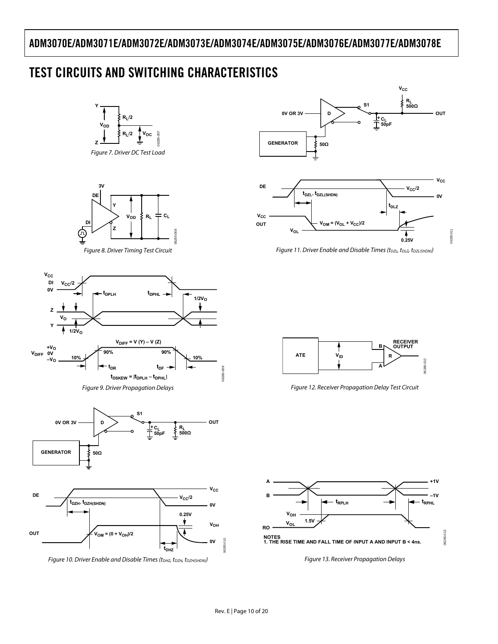# <span id="page-9-7"></span><span id="page-9-0"></span>TEST CIRCUITS AND SWITCHING CHARACTERISTICS

<span id="page-9-5"></span><span id="page-9-2"></span><span id="page-9-1"></span>

Figure 10. Driver Enable and Disable Times (tDHZ, tDZH, tDZH(SHDN))

<span id="page-9-6"></span><span id="page-9-3"></span>**DE**

<span id="page-9-4"></span>**OUT**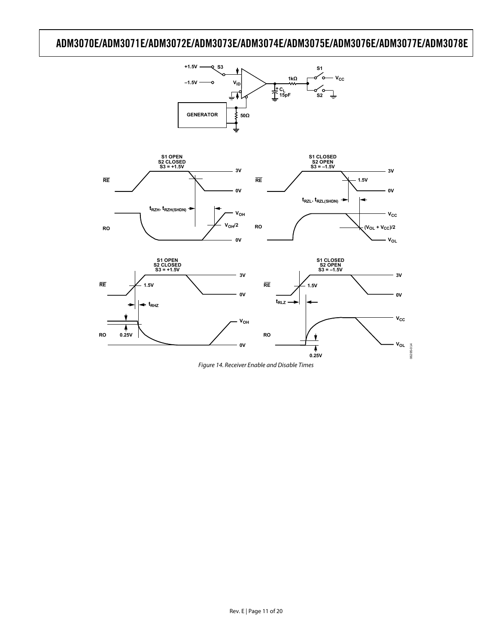**+1.5V**

**S3 S1** 



<span id="page-10-0"></span>Figure 14. Receiver Enable and Disable Times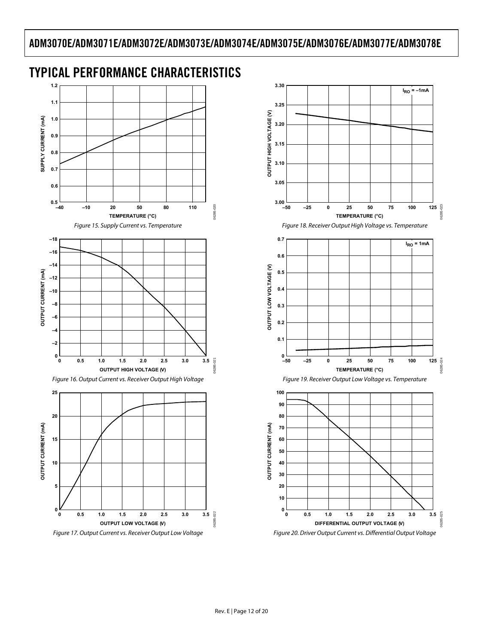

# <span id="page-11-0"></span>TYPICAL PERFORMANCE CHARACTERISTICS

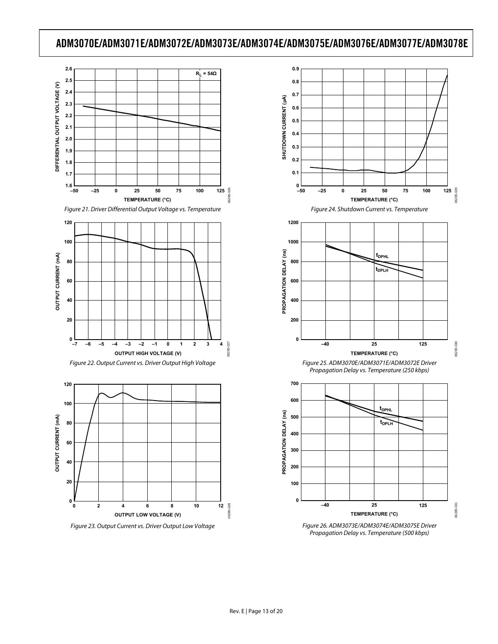

Figure 21. Driver Differential Output Voltage vs. Temperature





<span id="page-12-0"></span>

<span id="page-12-1"></span>



Figure 26. ADM3073E/ADM3074E/ADM3075E Driver Propagation Delay vs. Temperature (500 kbps)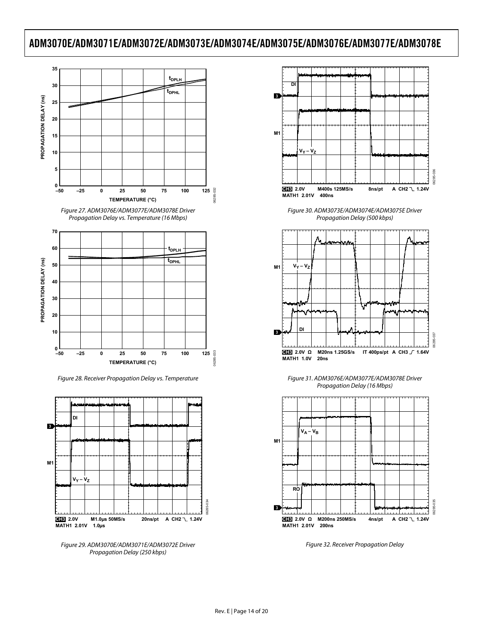





Figure 28. Receiver Propagation Delay vs. Temperature



Figure 29. ADM3070E/ADM3071E/ADM3072E Driver Figure 32. Receiver Propagation Delay Propagation Delay (250 kbps)



Figure 30. ADM3073E/ADM3074E/ADM3075E Driver Propagation Delay (500 kbps)



Figure 31. ADM3076E/ADM3077E/ADM3078E Driver Propagation Delay (16 Mbps)

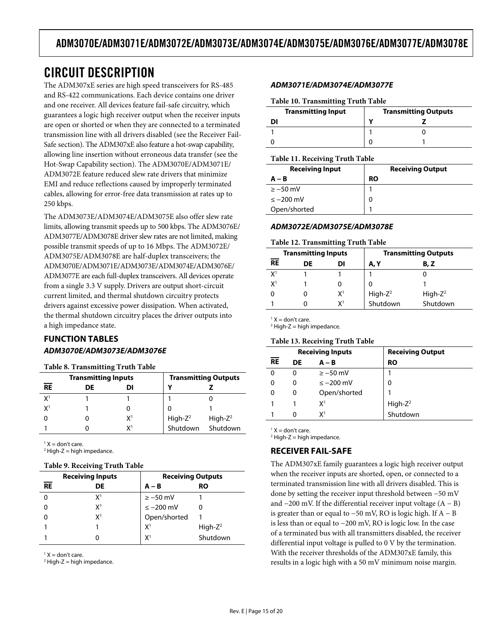# <span id="page-14-1"></span><span id="page-14-0"></span>CIRCUIT DESCRIPTION

The ADM307xE series are high speed transceivers for RS-485 and RS-422 communications. Each device contains one driver and one receiver. All devices feature fail-safe circuitry, which guarantees a logic high receiver output when the receiver inputs are open or shorted or when they are connected to a terminated transmission line with all drivers disabled (see the [Receiver Fail-](#page-14-2)[Safe](#page-14-2) section). The ADM307xE also feature a hot-swap capability, allowing line insertion without erroneous data transfer (see the [Hot-Swap Capability](#page-15-2) section). The ADM3070E/ADM3071E/ ADM3072E feature reduced slew rate drivers that minimize EMI and reduce reflections caused by improperly terminated cables, allowing for error-free data transmission at rates up to 250 kbps.

The ADM3073E/ADM3074E/ADM3075E also offer slew rate limits, allowing transmit speeds up to 500 kbps. The ADM3076E/ ADM3077E/ADM3078E driver slew rates are not limited, making possible transmit speeds of up to 16 Mbps. The ADM3072E/ ADM3075E/ADM3078E are half-duplex transceivers; the ADM3070E/ADM3071E/ADM3073E/ADM3074E/ADM3076E/ ADM3077E are each full-duplex transceivers. All devices operate from a single 3.3 V supply. Drivers are output short-circuit current limited, and thermal shutdown circuitry protects drivers against excessive power dissipation. When activated, the thermal shutdown circuitry places the driver outputs into a high impedance state.

## **FUNCTION TABLES ADM3070E/ADM3073E/ADM3076E**

#### **Table 8. Transmitting Truth Table**

|                 | <b>Transmitting Inputs</b> |    | <b>Transmitting Outputs</b> |             |  |  |  |  |  |
|-----------------|----------------------------|----|-----------------------------|-------------|--|--|--|--|--|
| $\overline{RE}$ | DE                         | DI |                             |             |  |  |  |  |  |
| X <sup>1</sup>  |                            |    |                             |             |  |  |  |  |  |
| X <sup>1</sup>  |                            |    |                             |             |  |  |  |  |  |
|                 |                            | χ1 | $High-Z2$                   | High- $Z^2$ |  |  |  |  |  |
|                 |                            | χ1 | Shutdown                    | Shutdown    |  |  |  |  |  |
|                 |                            |    |                             |             |  |  |  |  |  |

<span id="page-14-2"></span> $1 X =$  don't care.

 $2$  High-Z = high impedance.

#### **Table 9. Receiving Truth Table**

| <b>Receiving Inputs</b> |                | <b>Receiving Outputs</b> |             |  |
|-------------------------|----------------|--------------------------|-------------|--|
| <b>RE</b>               | DE             | $A - B$                  | RO          |  |
|                         | X1             | $\ge -50$ mV             |             |  |
|                         | X <sup>1</sup> | $\leq -200$ mV           |             |  |
|                         | X <sup>1</sup> | Open/shorted             |             |  |
|                         |                | X <sup>1</sup>           | High- $Z^2$ |  |
|                         |                | X <sup>1</sup>           | Shutdown    |  |

 $1 X =$  don't care.

 $2$  High-Z = high impedance.

#### **ADM3071E/ADM3074E/ADM3077E**

#### **Table 10. Transmitting Truth Table**

| <b>Transmitting Input</b> | <b>Transmitting Outputs</b> |  |
|---------------------------|-----------------------------|--|
| וח                        |                             |  |
|                           |                             |  |
|                           |                             |  |

#### **Table 11. Receiving Truth Table**

| <b>Receiving Input</b> | <b>Receiving Output</b> |  |
|------------------------|-------------------------|--|
| $A - B$                | <b>RO</b>               |  |
| $\ge -50$ mV           |                         |  |
| $\leq -200$ mV         |                         |  |
| Open/shorted           |                         |  |

### **ADM3072E/ADM3075E/ADM3078E**

#### **Table 12. Transmitting Truth Table**

| <b>Transmitting Inputs</b> |    |       |                                 | <b>Transmitting Outputs</b> |  |  |
|----------------------------|----|-------|---------------------------------|-----------------------------|--|--|
| <b>RE</b>                  | DE | DI    | A, Y                            | B, Z                        |  |  |
| X <sup>1</sup>             |    |       |                                 |                             |  |  |
| X <sup>1</sup>             |    |       |                                 |                             |  |  |
| 0                          |    | $X^1$ | High-Z <sup>2</sup><br>Shutdown | High- $Z^2$                 |  |  |
|                            |    | χ1    |                                 | Shutdown                    |  |  |

 $1 X =$  don't care.  $2$  High-Z = high impedance.

#### **Table 13. Receiving Truth Table**

| <b>Receiving Inputs</b> |    |                | <b>Receiving Output</b> |  |
|-------------------------|----|----------------|-------------------------|--|
| <b>RE</b>               | DE | $A - B$        | RO                      |  |
| 0                       | 0  | $\ge -50$ mV   |                         |  |
| 0                       | 0  | $\leq -200$ mV | 0                       |  |
| 0                       | 0  | Open/shorted   |                         |  |
|                         |    | X1             | $High-Z2$               |  |
|                         | o  | χ1             | Shutdown                |  |

 $1 X =$  don't care.

 $2$  High-Z = high impedance.

### **RECEIVER FAIL-SAFE**

The ADM307xE family guarantees a logic high receiver output when the receiver inputs are shorted, open, or connected to a terminated transmission line with all drivers disabled. This is done by setting the receiver input threshold between −50 mV and  $-200$  mV. If the differential receiver input voltage  $(A - B)$ is greater than or equal to −50 mV, RO is logic high. If A − B is less than or equal to −200 mV, RO is logic low. In the case of a terminated bus with all transmitters disabled, the receiver differential input voltage is pulled to 0 V by the termination. With the receiver thresholds of the ADM307xE family, this results in a logic high with a 50 mV minimum noise margin.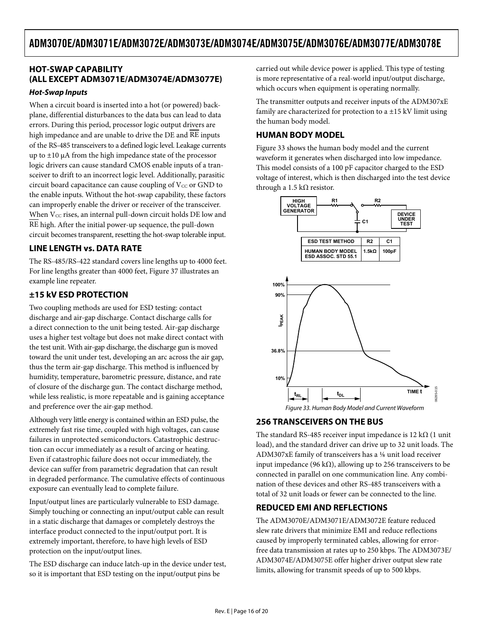## <span id="page-15-2"></span><span id="page-15-1"></span><span id="page-15-0"></span>**HOT-SWAP CAPABILITY (ALL EXCEPT ADM3071E/ADM3074E/ADM3077E)**

#### **Hot-Swap Inputs**

When a circuit board is inserted into a hot (or powered) backplane, differential disturbances to the data bus can lead to data errors. During this period, processor logic output drivers are high impedance and are unable to drive the DE and RE inputs of the RS-485 transceivers to a defined logic level. Leakage currents up to  $\pm 10$  μA from the high impedance state of the processor logic drivers can cause standard CMOS enable inputs of a transceiver to drift to an incorrect logic level. Additionally, parasitic circuit board capacitance can cause coupling of  $V_{CC}$  or GND to the enable inputs. Without the hot-swap capability, these factors can improperly enable the driver or receiver of the transceiver. When  $V_{CC}$  rises, an internal pull-down circuit holds DE low and RE high. After the initial power-up sequence, the pull-down circuit becomes transparent, resetting the hot-swap tolerable input.

### **LINE LENGTH vs. DATA RATE**

The RS-485/RS-422 standard covers line lengths up to 4000 feet. For line lengths greater than 4000 feet, [Figure 37](#page-17-0) illustrates an example line repeater.

## **±15 kV ESD PROTECTION**

Two coupling methods are used for ESD testing: contact discharge and air-gap discharge. Contact discharge calls for a direct connection to the unit being tested. Air-gap discharge uses a higher test voltage but does not make direct contact with the test unit. With air-gap discharge, the discharge gun is moved toward the unit under test, developing an arc across the air gap, thus the term air-gap discharge. This method is influenced by humidity, temperature, barometric pressure, distance, and rate of closure of the discharge gun. The contact discharge method, while less realistic, is more repeatable and is gaining acceptance and preference over the air-gap method.

<span id="page-15-3"></span>Although very little energy is contained within an ESD pulse, the extremely fast rise time, coupled with high voltages, can cause failures in unprotected semiconductors. Catastrophic destruction can occur immediately as a result of arcing or heating. Even if catastrophic failure does not occur immediately, the device can suffer from parametric degradation that can result in degraded performance. The cumulative effects of continuous exposure can eventually lead to complete failure.

Input/output lines are particularly vulnerable to ESD damage. Simply touching or connecting an input/output cable can result in a static discharge that damages or completely destroys the interface product connected to the input/output port. It is extremely important, therefore, to have high levels of ESD protection on the input/output lines.

The ESD discharge can induce latch-up in the device under test, so it is important that ESD testing on the input/output pins be

carried out while device power is applied. This type of testing is more representative of a real-world input/output discharge, which occurs when equipment is operating normally.

The transmitter outputs and receiver inputs of the ADM307xE family are characterized for protection to a  $\pm 15$  kV limit using the human body model.

## **HUMAN BODY MODEL**

[Figure 33](#page-15-3) shows the human body model and the current waveform it generates when discharged into low impedance. This model consists of a 100 pF capacitor charged to the ESD voltage of interest, which is then discharged into the test device through a 1.5 k $\Omega$  resistor.



## **256 TRANSCEIVERS ON THE BUS**

The standard RS-485 receiver input impedance is 12 k $\Omega$  (1 unit load), and the standard driver can drive up to 32 unit loads. The ADM307xE family of transceivers has a ⅛ unit load receiver input impedance (96 k $\Omega$ ), allowing up to 256 transceivers to be connected in parallel on one communication line. Any combination of these devices and other RS-485 transceivers with a total of 32 unit loads or fewer can be connected to the line.

## **REDUCED EMI AND REFLECTIONS**

The ADM3070E/ADM3071E/ADM3072E feature reduced slew rate drivers that minimize EMI and reduce reflections caused by improperly terminated cables, allowing for errorfree data transmission at rates up to 250 kbps. The ADM3073E/ ADM3074E/ADM3075E offer higher driver output slew rate limits, allowing for transmit speeds of up to 500 kbps.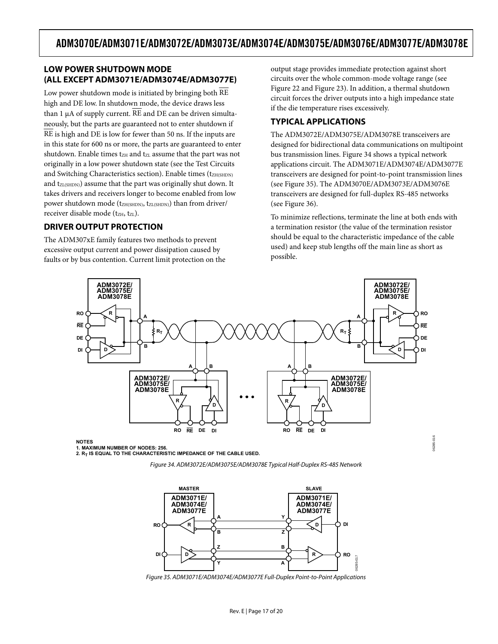### <span id="page-16-1"></span><span id="page-16-0"></span>**LOW POWER SHUTDOWN MODE (ALL EXCEPT ADM3071E/ADM3074E/ADM3077E)**

Low power shutdown mode is initiated by bringing both RE high and DE low. In shutdown mode, the device draws less than 1 μA of supply current. RE and DE can be driven simultaneously, but the parts are guaranteed not to enter shutdown if RE is high and DE is low for fewer than 50 ns. If the inputs are in this state for 600 ns or more, the parts are guaranteed to enter shutdown. Enable times  $t_{ZH}$  and  $t_{ZL}$  assume that the part was not originally in a low power shutdown state (see the [Test Circuits](#page-9-7)  [and Switching Characteristics](#page-9-7) section). Enable times (t<sub>ZH(SHDN)</sub> and t<sub>ZL(SHDN)</sub>) assume that the part was originally shut down. It takes drivers and receivers longer to become enabled from low power shutdown mode ( $t_{ZH(SHDN)}$ ,  $t_{ZL(SHDN)}$ ) than from driver/ receiver disable mode (tz<sub>H</sub>, tz<sub>L</sub>).

### **DRIVER OUTPUT PROTECTION**

The ADM307xE family features two methods to prevent excessive output current and power dissipation caused by faults or by bus contention. Current limit protection on the output stage provides immediate protection against short circuits over the whole common-mode voltage range (see [Figure 22](#page-12-0) and [Figure 23\)](#page-12-1). In addition, a thermal shutdown circuit forces the driver outputs into a high impedance state if the die temperature rises excessively.

### **TYPICAL APPLICATIONS**

The ADM3072E/ADM3075E/ADM3078E transceivers are designed for bidirectional data communications on multipoint bus transmission lines. [Figure 34](#page-16-2) shows a typical network applications circuit. The ADM3071E/ADM3074E/ADM3077E transceivers are designed for point-to-point transmission lines (see [Figure 35\)](#page-16-3). The ADM3070E/ADM3073E/ADM3076E transceivers are designed for full-duplex RS-485 networks (see [Figure 36\)](#page-17-1).

To minimize reflections, terminate the line at both ends with a termination resistor (the value of the termination resistor should be equal to the characteristic impedance of the cable used) and keep stub lengths off the main line as short as possible.

06285-016

06285-016



<span id="page-16-2"></span>**NOTES**

**1. MAXIMUM NUMBER OF NODES: 256.** 2. R<sub>T</sub> IS EQUAL TO THE CHARACTERISTIC IMPEDANCE OF THE CABLE USED.





<span id="page-16-3"></span>Figure 35. ADM3071E/ADM3074E/ADM3077E Full-Duplex Point-to-Point Applications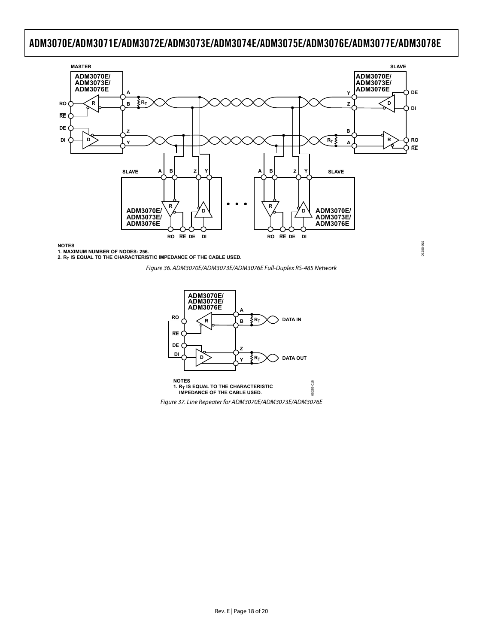

<span id="page-17-1"></span>1. MAXIMUM NUMBER OF NODES: 256.<br>2. R<sub>T</sub> IS EQUAL TO THE CHARACTERISTIC IMPEDANCE OF THE CABLE USED.

Figure 36. ADM3070E/ADM3073E/ADM3076E Full-Duplex RS-485 Network

06285-019



<span id="page-17-0"></span>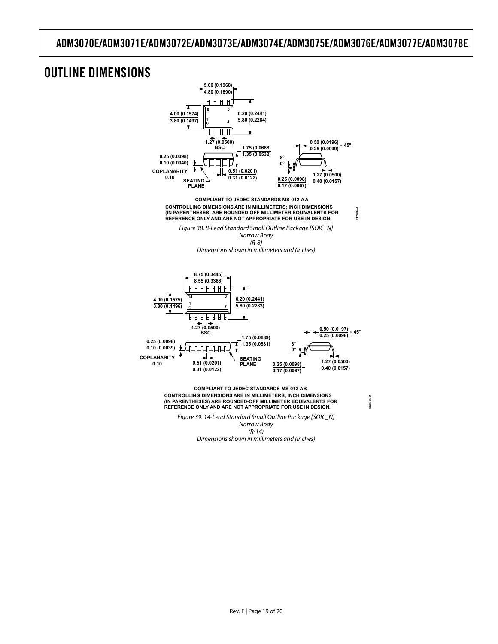## <span id="page-18-0"></span>OUTLINE DIMENSIONS